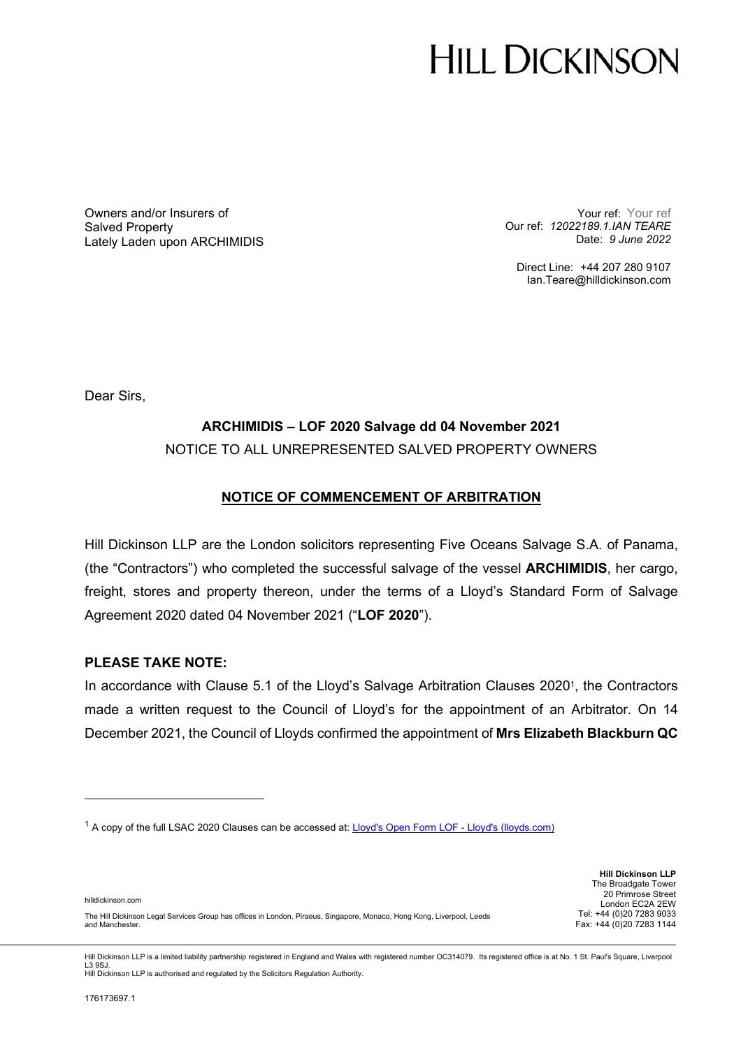# **HILL DICKINSON**

Owners and/or Insurers of Salved Property Lately Laden upon ARCHIMIDIS

Your ref: Your ref Our ref: *12022189.1.IAN TEARE*  Date: *9 June 2022*

Direct Line: +44 207 280 9107 Ian.Teare@hilldickinson.com

Dear Sirs,

## **ARCHIMIDIS – LOF 2020 Salvage dd 04 November 2021**  NOTICE TO ALL UNREPRESENTED SALVED PROPERTY OWNERS

### **NOTICE OF COMMENCEMENT OF ARBITRATION**

Hill Dickinson LLP are the London solicitors representing Five Oceans Salvage S.A. of Panama, (the "Contractors") who completed the successful salvage of the vessel **ARCHIMIDIS**, her cargo, freight, stores and property thereon, under the terms of a Lloyd's Standard Form of Salvage Agreement 2020 dated 04 November 2021 ("**LOF 2020**").

#### **PLEASE TAKE NOTE:**

In accordance with Clause 5.1 of the Lloyd's Salvage Arbitration Clauses 2020<sup>1</sup>, the Contractors made a written request to the Council of Lloyd's for the appointment of an Arbitrator. On 14 December 2021, the Council of Lloyds confirmed the appointment of **Mrs Elizabeth Blackburn QC**

**Hill Dickinson LLP** The Broadgate Tower 20 Primrose Street London EC2A 2EW Tel: +44 (0)20 7283 9033 Fax: +44 (0)20 7283 1144

The Hill Dickinson Legal Services Group has offices in London, Piraeus, Singapore, Monaco, Hong Kong, Liverpool, Leeds and Manchester.

Hill Dickinson LLP is a limited liability partnership registered in England and Wales with registered number OC314079. Its registered office is at No. 1 St. Paul's Square, Liverpool L3 9SJ. Hill Dickinson LLP is authorised and regulated by the Solicitors Regulation Authority.

hilldickinson.com

<sup>&</sup>lt;sup>1</sup> A copy of the full LSAC 2020 Clauses can be accessed at: Lloyd's Open Form LOF - Lloyd's (lloyds.com)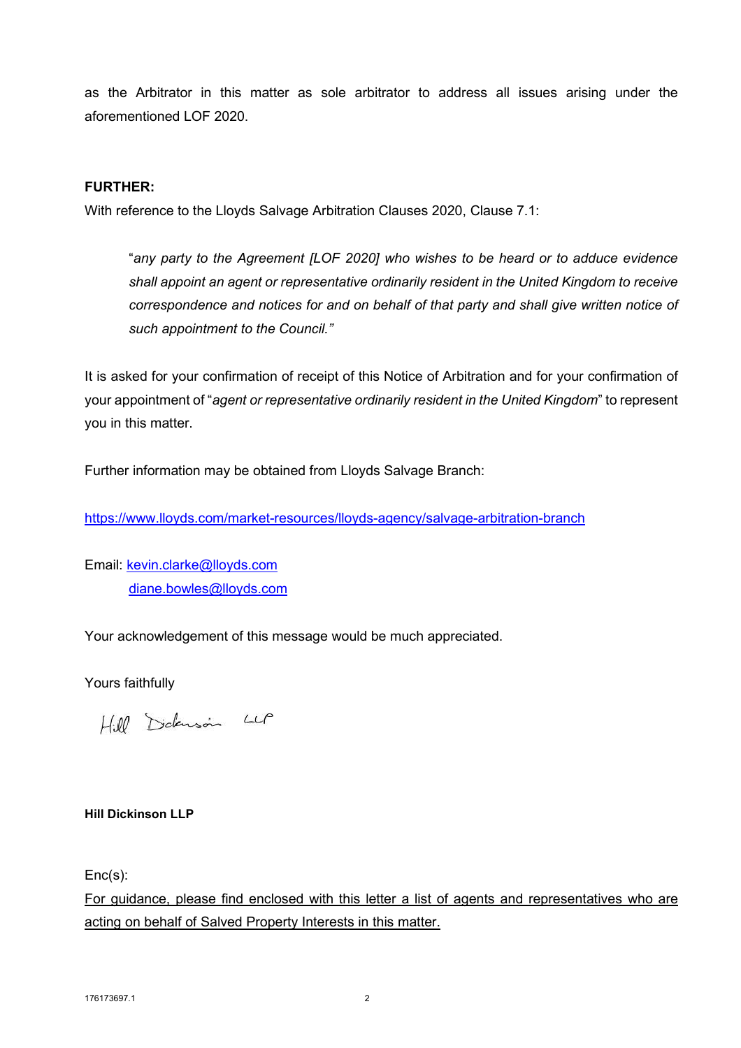as the Arbitrator in this matter as sole arbitrator to address all issues arising under the aforementioned LOF 2020.

#### **FURTHER:**

With reference to the Lloyds Salvage Arbitration Clauses 2020, Clause 7.1:

"*any party to the Agreement [LOF 2020] who wishes to be heard or to adduce evidence shall appoint an agent or representative ordinarily resident in the United Kingdom to receive correspondence and notices for and on behalf of that party and shall give written notice of such appointment to the Council."*

It is asked for your confirmation of receipt of this Notice of Arbitration and for your confirmation of your appointment of "*agent or representative ordinarily resident in the United Kingdom*" to represent you in this matter.

Further information may be obtained from Lloyds Salvage Branch:

https://www.lloyds.com/market-resources/lloyds-agency/salvage-arbitration-branch

Email: kevin.clarke@lloyds.com diane.bowles@lloyds.com

Your acknowledgement of this message would be much appreciated.

Yours faithfully

Hill Didenson LLP

#### **Hill Dickinson LLP**

Enc(s):

For guidance, please find enclosed with this letter a list of agents and representatives who are acting on behalf of Salved Property Interests in this matter.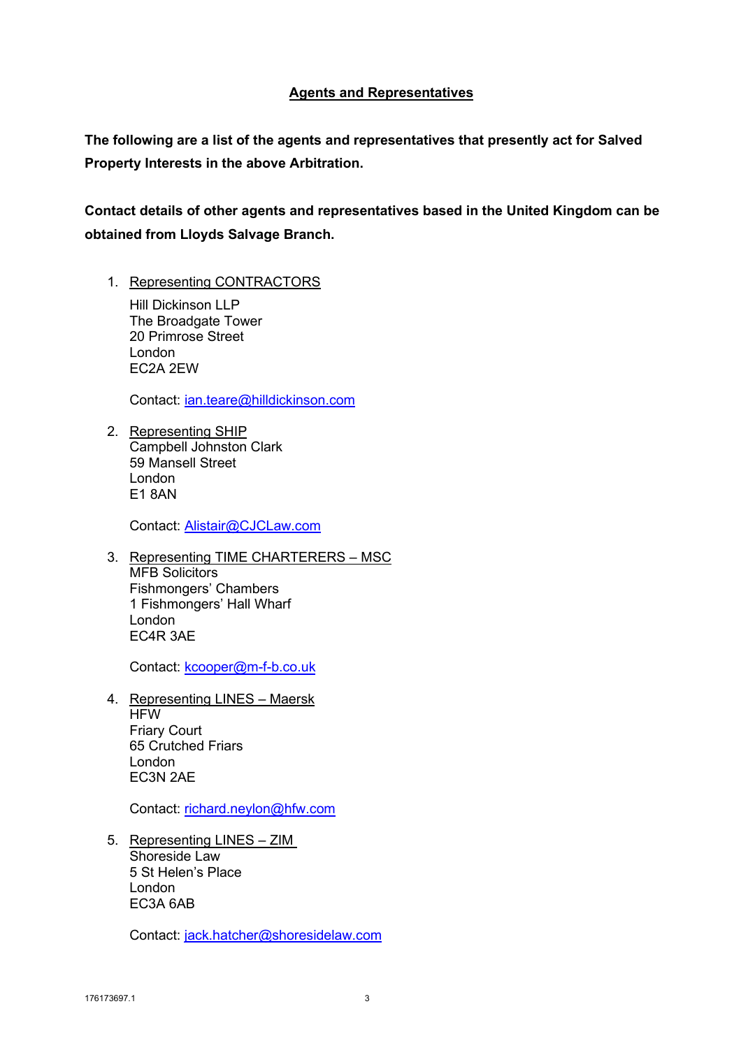#### **Agents and Representatives**

**The following are a list of the agents and representatives that presently act for Salved Property Interests in the above Arbitration.** 

**Contact details of other agents and representatives based in the United Kingdom can be obtained from Lloyds Salvage Branch.** 

1. Representing CONTRACTORS

Hill Dickinson LLP The Broadgate Tower 20 Primrose Street London EC2A 2EW

Contact: jan.teare@hilldickinson.com

2. Representing SHIP Campbell Johnston Clark 59 Mansell Street London E1 8AN

Contact: Alistair@CJCLaw.com

3. Representing TIME CHARTERERS – MSC MFB Solicitors Fishmongers' Chambers 1 Fishmongers' Hall Wharf London EC4R 3AE

Contact: kcooper@m-f-b.co.uk

4. Representing LINES – Maersk **HFW** Friary Court 65 Crutched Friars London EC3N 2AE

Contact: richard.neylon@hfw.com

5. Representing LINES – ZIM Shoreside Law 5 St Helen's Place London EC3A 6AB

Contact: jack.hatcher@shoresidelaw.com